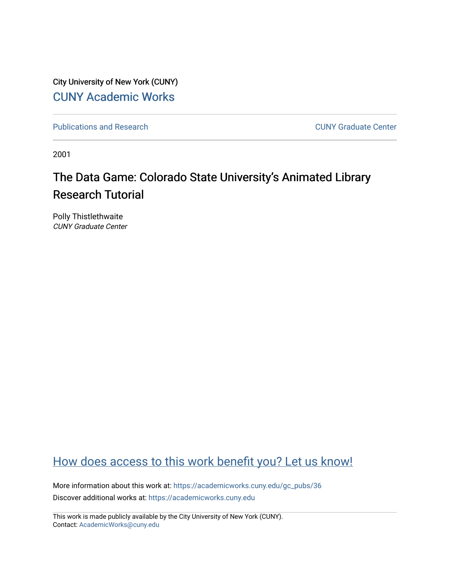City University of New York (CUNY) [CUNY Academic Works](https://academicworks.cuny.edu/) 

[Publications and Research](https://academicworks.cuny.edu/gc_pubs) [CUNY Graduate Center](https://academicworks.cuny.edu/gc) 

2001

# The Data Game: Colorado State University's Animated Library Research Tutorial

Polly Thistlethwaite CUNY Graduate Center

# [How does access to this work benefit you? Let us know!](http://ols.cuny.edu/academicworks/?ref=https://academicworks.cuny.edu/gc_pubs/36)

More information about this work at: [https://academicworks.cuny.edu/gc\\_pubs/36](https://academicworks.cuny.edu/gc_pubs/36)  Discover additional works at: [https://academicworks.cuny.edu](https://academicworks.cuny.edu/?)

This work is made publicly available by the City University of New York (CUNY). Contact: [AcademicWorks@cuny.edu](mailto:AcademicWorks@cuny.edu)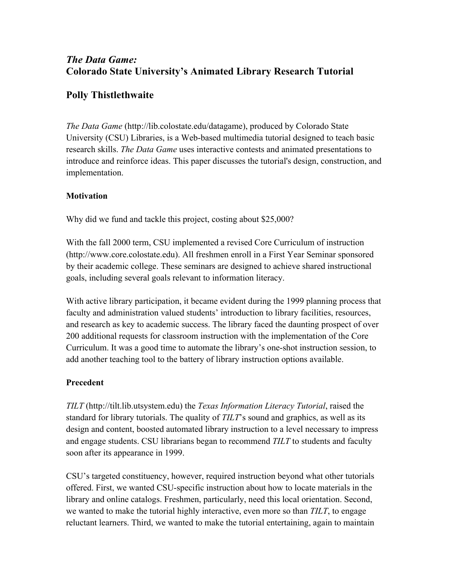# *The Data Game:* **Colorado State University's Animated Library Research Tutorial**

# **Polly Thistlethwaite**

*The Data Game* (http://lib.colostate.edu/datagame), produced by Colorado State University (CSU) Libraries, is a Web-based multimedia tutorial designed to teach basic research skills. *The Data Game* uses interactive contests and animated presentations to introduce and reinforce ideas. This paper discusses the tutorial's design, construction, and implementation.

## **Motivation**

Why did we fund and tackle this project, costing about \$25,000?

With the fall 2000 term, CSU implemented a revised Core Curriculum of instruction (http://www.core.colostate.edu). All freshmen enroll in a First Year Seminar sponsored by their academic college. These seminars are designed to achieve shared instructional goals, including several goals relevant to information literacy.

With active library participation, it became evident during the 1999 planning process that faculty and administration valued students' introduction to library facilities, resources, and research as key to academic success. The library faced the daunting prospect of over 200 additional requests for classroom instruction with the implementation of the Core Curriculum. It was a good time to automate the library's one-shot instruction session, to add another teaching tool to the battery of library instruction options available.

## **Precedent**

*TILT* (http://tilt.lib.utsystem.edu) the *Texas Information Literacy Tutorial*, raised the standard for library tutorials. The quality of *TILT*'s sound and graphics, as well as its design and content, boosted automated library instruction to a level necessary to impress and engage students. CSU librarians began to recommend *TILT* to students and faculty soon after its appearance in 1999.

CSU's targeted constituency, however, required instruction beyond what other tutorials offered. First, we wanted CSU-specific instruction about how to locate materials in the library and online catalogs. Freshmen, particularly, need this local orientation. Second, we wanted to make the tutorial highly interactive, even more so than *TILT*, to engage reluctant learners. Third, we wanted to make the tutorial entertaining, again to maintain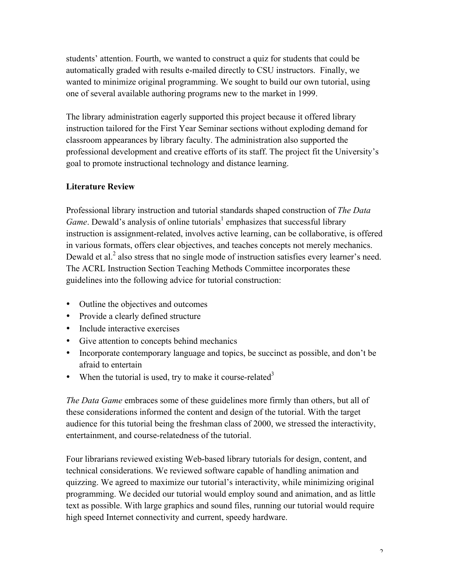students' attention. Fourth, we wanted to construct a quiz for students that could be automatically graded with results e-mailed directly to CSU instructors. Finally, we wanted to minimize original programming. We sought to build our own tutorial, using one of several available authoring programs new to the market in 1999.

The library administration eagerly supported this project because it offered library instruction tailored for the First Year Seminar sections without exploding demand for classroom appearances by library faculty. The administration also supported the professional development and creative efforts of its staff. The project fit the University's goal to promote instructional technology and distance learning.

### **Literature Review**

Professional library instruction and tutorial standards shaped construction of *The Data Game*. Dewald's analysis of online tutorials<sup>1</sup> emphasizes that successful library instruction is assignment-related, involves active learning, can be collaborative, is offered in various formats, offers clear objectives, and teaches concepts not merely mechanics. Dewald et al.<sup>2</sup> also stress that no single mode of instruction satisfies every learner's need. The ACRL Instruction Section Teaching Methods Committee incorporates these guidelines into the following advice for tutorial construction:

- Outline the objectives and outcomes
- Provide a clearly defined structure
- Include interactive exercises
- Give attention to concepts behind mechanics
- Incorporate contemporary language and topics, be succinct as possible, and don't be afraid to entertain
- When the tutorial is used, try to make it course-related<sup>3</sup>

*The Data Game* embraces some of these guidelines more firmly than others, but all of these considerations informed the content and design of the tutorial. With the target audience for this tutorial being the freshman class of 2000, we stressed the interactivity, entertainment, and course-relatedness of the tutorial.

Four librarians reviewed existing Web-based library tutorials for design, content, and technical considerations. We reviewed software capable of handling animation and quizzing. We agreed to maximize our tutorial's interactivity, while minimizing original programming. We decided our tutorial would employ sound and animation, and as little text as possible. With large graphics and sound files, running our tutorial would require high speed Internet connectivity and current, speedy hardware.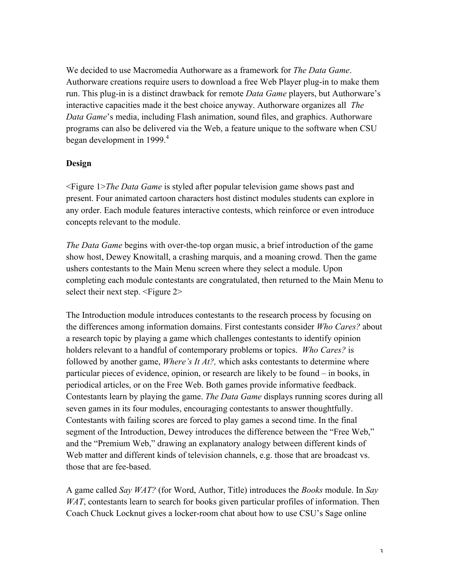We decided to use Macromedia Authorware as a framework for *The Data Game*. Authorware creations require users to download a free Web Player plug-in to make them run. This plug-in is a distinct drawback for remote *Data Game* players, but Authorware's interactive capacities made it the best choice anyway. Authorware organizes all *The Data Game*'s media, including Flash animation, sound files, and graphics. Authorware programs can also be delivered via the Web, a feature unique to the software when CSU began development in 1999.<sup>4</sup>

#### **Design**

<Figure 1>*The Data Game* is styled after popular television game shows past and present. Four animated cartoon characters host distinct modules students can explore in any order. Each module features interactive contests, which reinforce or even introduce concepts relevant to the module.

*The Data Game* begins with over-the-top organ music, a brief introduction of the game show host, Dewey Knowitall, a crashing marquis, and a moaning crowd. Then the game ushers contestants to the Main Menu screen where they select a module. Upon completing each module contestants are congratulated, then returned to the Main Menu to select their next step. <Figure 2>

The Introduction module introduces contestants to the research process by focusing on the differences among information domains. First contestants consider *Who Cares?* about a research topic by playing a game which challenges contestants to identify opinion holders relevant to a handful of contemporary problems or topics. *Who Cares?* is followed by another game, *Where's It At?,* which asks contestants to determine where particular pieces of evidence, opinion, or research are likely to be found – in books, in periodical articles, or on the Free Web. Both games provide informative feedback. Contestants learn by playing the game. *The Data Game* displays running scores during all seven games in its four modules, encouraging contestants to answer thoughtfully. Contestants with failing scores are forced to play games a second time. In the final segment of the Introduction, Dewey introduces the difference between the "Free Web," and the "Premium Web," drawing an explanatory analogy between different kinds of Web matter and different kinds of television channels, e.g. those that are broadcast vs. those that are fee-based.

A game called *Say WAT?* (for Word, Author, Title) introduces the *Books* module. In *Say WAT*, contestants learn to search for books given particular profiles of information. Then Coach Chuck Locknut gives a locker-room chat about how to use CSU's Sage online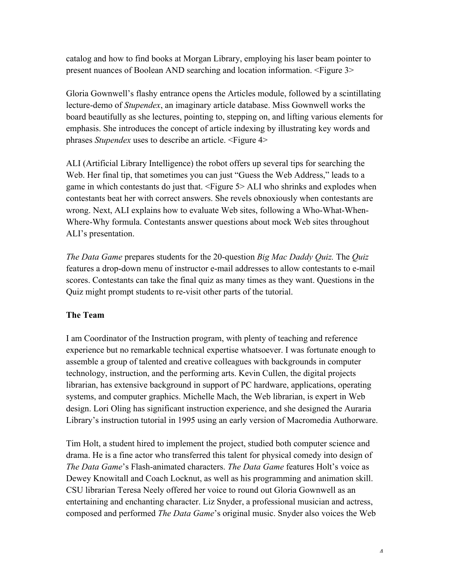catalog and how to find books at Morgan Library, employing his laser beam pointer to present nuances of Boolean AND searching and location information. <Figure 3>

Gloria Gownwell's flashy entrance opens the Articles module, followed by a scintillating lecture-demo of *Stupendex*, an imaginary article database. Miss Gownwell works the board beautifully as she lectures, pointing to, stepping on, and lifting various elements for emphasis. She introduces the concept of article indexing by illustrating key words and phrases *Stupendex* uses to describe an article. <Figure 4>

ALI (Artificial Library Intelligence) the robot offers up several tips for searching the Web. Her final tip, that sometimes you can just "Guess the Web Address," leads to a game in which contestants do just that. <Figure 5> ALI who shrinks and explodes when contestants beat her with correct answers. She revels obnoxiously when contestants are wrong. Next, ALI explains how to evaluate Web sites, following a Who-What-When-Where-Why formula. Contestants answer questions about mock Web sites throughout ALI's presentation.

*The Data Game* prepares students for the 20-question *Big Mac Daddy Quiz.* The *Quiz* features a drop-down menu of instructor e-mail addresses to allow contestants to e-mail scores. Contestants can take the final quiz as many times as they want. Questions in the Quiz might prompt students to re-visit other parts of the tutorial.

#### **The Team**

I am Coordinator of the Instruction program, with plenty of teaching and reference experience but no remarkable technical expertise whatsoever. I was fortunate enough to assemble a group of talented and creative colleagues with backgrounds in computer technology, instruction, and the performing arts. Kevin Cullen, the digital projects librarian, has extensive background in support of PC hardware, applications, operating systems, and computer graphics. Michelle Mach, the Web librarian, is expert in Web design. Lori Oling has significant instruction experience, and she designed the Auraria Library's instruction tutorial in 1995 using an early version of Macromedia Authorware.

Tim Holt, a student hired to implement the project, studied both computer science and drama. He is a fine actor who transferred this talent for physical comedy into design of *The Data Game*'s Flash-animated characters. *The Data Game* features Holt's voice as Dewey Knowitall and Coach Locknut, as well as his programming and animation skill. CSU librarian Teresa Neely offered her voice to round out Gloria Gownwell as an entertaining and enchanting character. Liz Snyder, a professional musician and actress, composed and performed *The Data Game*'s original music. Snyder also voices the Web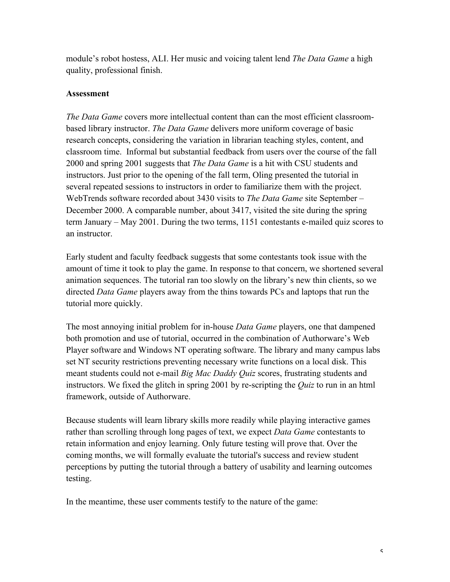module's robot hostess, ALI. Her music and voicing talent lend *The Data Game* a high quality, professional finish.

#### **Assessment**

*The Data Game* covers more intellectual content than can the most efficient classroombased library instructor. *The Data Game* delivers more uniform coverage of basic research concepts, considering the variation in librarian teaching styles, content, and classroom time. Informal but substantial feedback from users over the course of the fall 2000 and spring 2001 suggests that *The Data Game* is a hit with CSU students and instructors. Just prior to the opening of the fall term, Oling presented the tutorial in several repeated sessions to instructors in order to familiarize them with the project. WebTrends software recorded about 3430 visits to *The Data Game* site September – December 2000. A comparable number, about 3417, visited the site during the spring term January – May 2001. During the two terms, 1151 contestants e-mailed quiz scores to an instructor.

Early student and faculty feedback suggests that some contestants took issue with the amount of time it took to play the game. In response to that concern, we shortened several animation sequences. The tutorial ran too slowly on the library's new thin clients, so we directed *Data Game* players away from the thins towards PCs and laptops that run the tutorial more quickly.

The most annoying initial problem for in-house *Data Game* players, one that dampened both promotion and use of tutorial, occurred in the combination of Authorware's Web Player software and Windows NT operating software. The library and many campus labs set NT security restrictions preventing necessary write functions on a local disk. This meant students could not e-mail *Big Mac Daddy Quiz* scores, frustrating students and instructors. We fixed the glitch in spring 2001 by re-scripting the *Quiz* to run in an html framework, outside of Authorware.

Because students will learn library skills more readily while playing interactive games rather than scrolling through long pages of text, we expect *Data Game* contestants to retain information and enjoy learning. Only future testing will prove that. Over the coming months, we will formally evaluate the tutorial's success and review student perceptions by putting the tutorial through a battery of usability and learning outcomes testing.

In the meantime, these user comments testify to the nature of the game: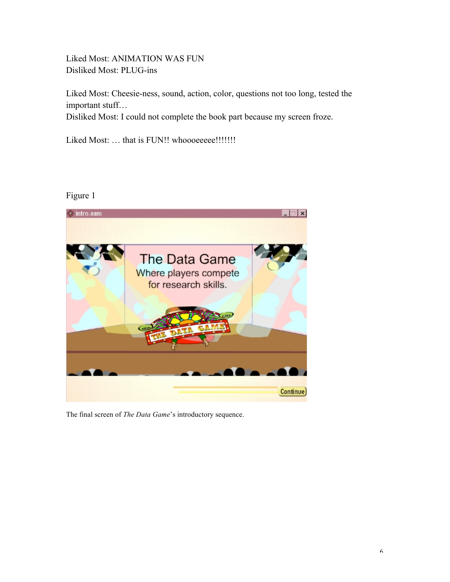Liked Most: ANIMATION WAS FUN Disliked Most: PLUG-ins

Liked Most: Cheesie-ness, sound, action, color, questions not too long, tested the important stuff…

Disliked Most: I could not complete the book part because my screen froze.

Liked Most: ... that is FUN!! whoooeeee!!!!!!!!

# Figure 1



The final screen of *The Data Game*'s introductory sequence.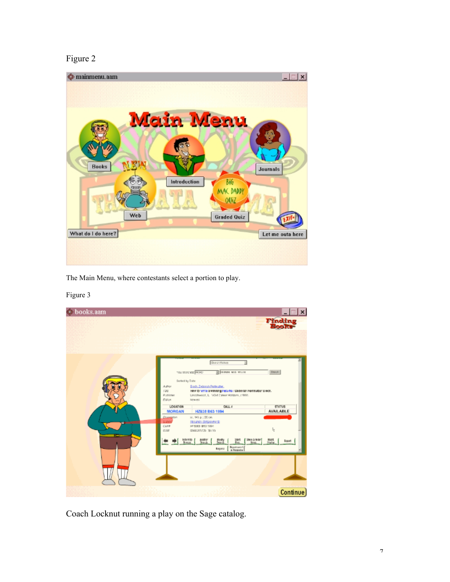# Figure 2



The Main Menu, where contestants select a portion to play.

#### books.aam  $\vert x \vert$ indin  $(0 or c)$ J. tou searches <mark>(mune</mark> **B** Externa and velocal drash.) Sorted by Date Doch Now to write a winning nest the / Deborah Permutber Blood.<br>Encomesco . L. NGM Corean Rottom, 2003. **STATUS**<br>AVAILABLE LOCATION CALL 4 HZ638 B63 199  $\omega$ , 148  $\mu$ ; 20 cm.<br>Elements (Empayment)<br>HP SUBD USD 1994<br>US64251725 : \$5 35 ı. Sten Similar<br>Bron **Hast**  $_{\rm best}$ tháty<br>Scará  $\frac{3487}{9.81}$ ٠ ●  $\begin{array}{|c|c|}\hline \textbf{B} \textbf{point} \end{array}$ Continue)

Coach Locknut running a play on the Sage catalog.

#### Figure 3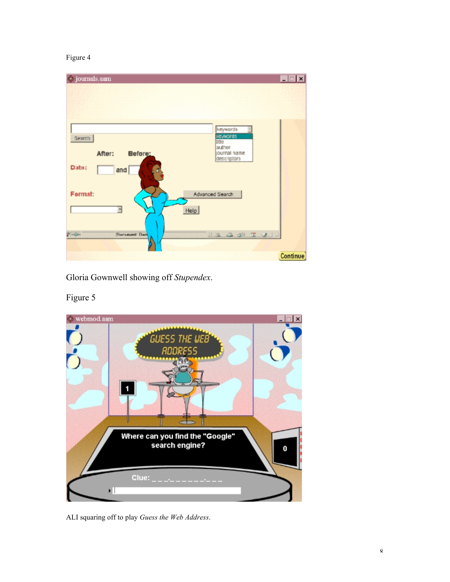### Figure 4



Gloria Gownwell showing off *Stupendex*.



# Figure 5

ALI squaring off to play *Guess the Web Address*.